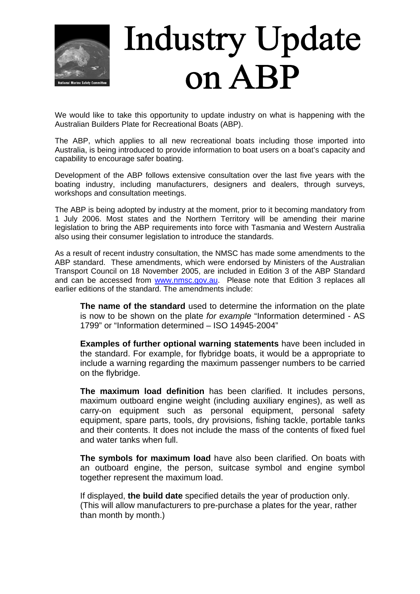

## **Industry Update** on ABP

We would like to take this opportunity to update industry on what is happening with the Australian Builders Plate for Recreational Boats (ABP).

The ABP, which applies to all new recreational boats including those imported into Australia, is being introduced to provide information to boat users on a boat's capacity and capability to encourage safer boating.

Development of the ABP follows extensive consultation over the last five years with the boating industry, including manufacturers, designers and dealers, through surveys, workshops and consultation meetings.

The ABP is being adopted by industry at the moment, prior to it becoming mandatory from 1 July 2006. Most states and the Northern Territory will be amending their marine legislation to bring the ABP requirements into force with Tasmania and Western Australia also using their consumer legislation to introduce the standards.

As a result of recent industry consultation, the NMSC has made some amendments to the ABP standard. These amendments, which were endorsed by Ministers of the Australian Transport Council on 18 November 2005, are included in Edition 3 of the ABP Standard and can be accessed from [www.nmsc.gov.au.](http://www.nmsc.gov.au/) Please note that Edition 3 replaces all earlier editions of the standard. The amendments include:

**The name of the standard** used to determine the information on the plate is now to be shown on the plate *for example* "Information determined - AS 1799" or "Information determined – ISO 14945-2004"

**Examples of further optional warning statements** have been included in the standard. For example, for flybridge boats, it would be a appropriate to include a warning regarding the maximum passenger numbers to be carried on the flybridge.

**The maximum load definition** has been clarified. It includes persons, maximum outboard engine weight (including auxiliary engines), as well as carry-on equipment such as personal equipment, personal safety equipment, spare parts, tools, dry provisions, fishing tackle, portable tanks and their contents. It does not include the mass of the contents of fixed fuel and water tanks when full.

**The symbols for maximum load** have also been clarified. On boats with an outboard engine, the person, suitcase symbol and engine symbol together represent the maximum load.

If displayed, **the build date** specified details the year of production only. (This will allow manufacturers to pre-purchase a plates for the year, rather than month by month.)